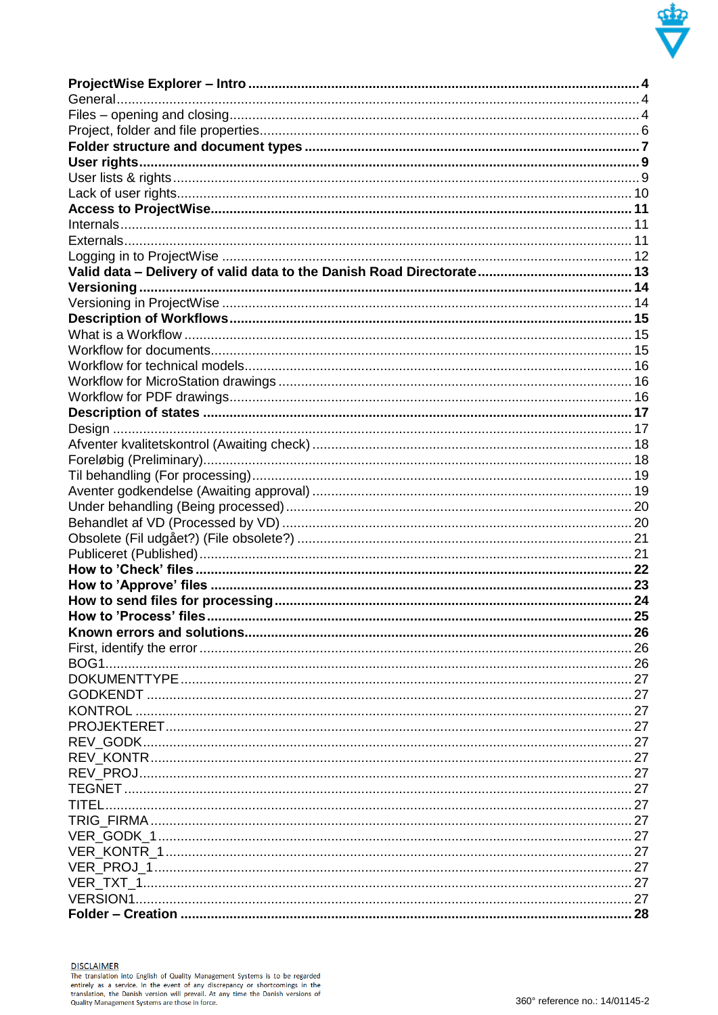

**DISCLAIMER**<br>The translation into English of Quality Management Systems is to be regarded<br>entirely as a service. In the event of any discrepancy or shortcomings in the<br>translation, the Danish version will prevail. At any t